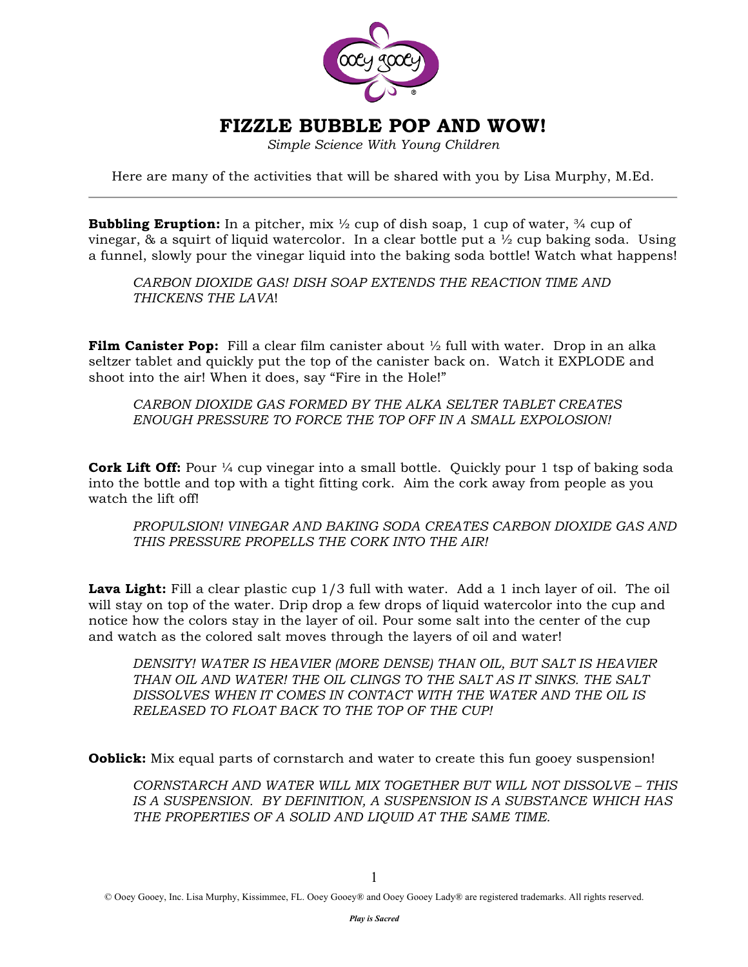

# **FIZZLE BUBBLE POP AND WOW!**

*Simple Science With Young Children* 

Here are many of the activities that will be shared with you by Lisa Murphy, M.Ed.

**Bubbling Eruption:** In a pitcher, mix  $\frac{1}{2}$  cup of dish soap, 1 cup of water,  $\frac{3}{4}$  cup of vinegar, & a squirt of liquid watercolor. In a clear bottle put a  $\frac{1}{2}$  cup baking soda. Using a funnel, slowly pour the vinegar liquid into the baking soda bottle! Watch what happens!

*CARBON DIOXIDE GAS! DISH SOAP EXTENDS THE REACTION TIME AND THICKENS THE LAVA*!

**Film Canister Pop:** Fill a clear film canister about  $\frac{1}{2}$  full with water. Drop in an alka seltzer tablet and quickly put the top of the canister back on. Watch it EXPLODE and shoot into the air! When it does, say "Fire in the Hole!"

*CARBON DIOXIDE GAS FORMED BY THE ALKA SELTER TABLET CREATES ENOUGH PRESSURE TO FORCE THE TOP OFF IN A SMALL EXPOLOSION!*

**Cork Lift Off:** Pour <sup>1</sup>/<sub>4</sub> cup vinegar into a small bottle. Quickly pour 1 tsp of baking soda into the bottle and top with a tight fitting cork. Aim the cork away from people as you watch the lift off!

*PROPULSION! VINEGAR AND BAKING SODA CREATES CARBON DIOXIDE GAS AND THIS PRESSURE PROPELLS THE CORK INTO THE AIR!*

Lava Light: Fill a clear plastic cup 1/3 full with water. Add a 1 inch layer of oil. The oil will stay on top of the water. Drip drop a few drops of liquid watercolor into the cup and notice how the colors stay in the layer of oil. Pour some salt into the center of the cup and watch as the colored salt moves through the layers of oil and water!

*DENSITY! WATER IS HEAVIER (MORE DENSE) THAN OIL, BUT SALT IS HEAVIER THAN OIL AND WATER! THE OIL CLINGS TO THE SALT AS IT SINKS. THE SALT DISSOLVES WHEN IT COMES IN CONTACT WITH THE WATER AND THE OIL IS RELEASED TO FLOAT BACK TO THE TOP OF THE CUP!*

**Ooblick:** Mix equal parts of cornstarch and water to create this fun gooey suspension!

*CORNSTARCH AND WATER WILL MIX TOGETHER BUT WILL NOT DISSOLVE – THIS IS A SUSPENSION. BY DEFINITION, A SUSPENSION IS A SUBSTANCE WHICH HAS THE PROPERTIES OF A SOLID AND LIQUID AT THE SAME TIME.*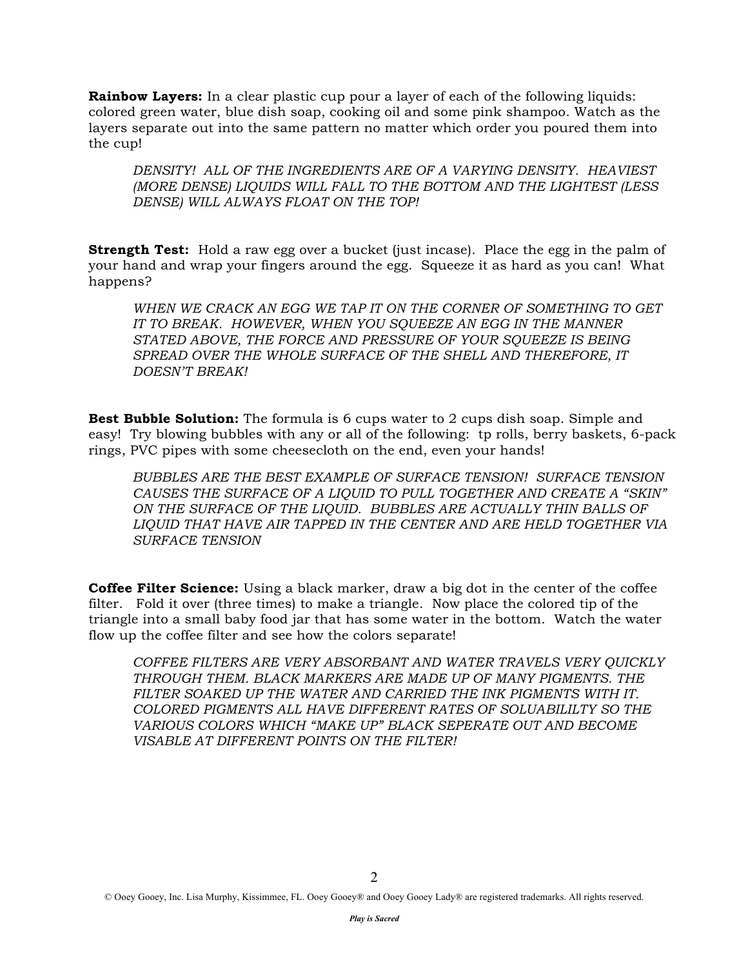**Rainbow Layers:** In a clear plastic cup pour a layer of each of the following liquids: colored green water, blue dish soap, cooking oil and some pink shampoo. Watch as the layers separate out into the same pattern no matter which order you poured them into the cup!

*DENSITY! ALL OF THE INGREDIENTS ARE OF A VARYING DENSITY. HEAVIEST (MORE DENSE) LIQUIDS WILL FALL TO THE BOTTOM AND THE LIGHTEST (LESS DENSE) WILL ALWAYS FLOAT ON THE TOP!*

**Strength Test:** Hold a raw egg over a bucket (just incase). Place the egg in the palm of your hand and wrap your fingers around the egg. Squeeze it as hard as you can! What happens?

*WHEN WE CRACK AN EGG WE TAP IT ON THE CORNER OF SOMETHING TO GET IT TO BREAK. HOWEVER, WHEN YOU SQUEEZE AN EGG IN THE MANNER STATED ABOVE, THE FORCE AND PRESSURE OF YOUR SQUEEZE IS BEING SPREAD OVER THE WHOLE SURFACE OF THE SHELL AND THEREFORE, IT DOESN'T BREAK!*

**Best Bubble Solution:** The formula is 6 cups water to 2 cups dish soap. Simple and easy! Try blowing bubbles with any or all of the following: tp rolls, berry baskets, 6-pack rings, PVC pipes with some cheesecloth on the end, even your hands!

*BUBBLES ARE THE BEST EXAMPLE OF SURFACE TENSION! SURFACE TENSION CAUSES THE SURFACE OF A LIQUID TO PULL TOGETHER AND CREATE A "SKIN" ON THE SURFACE OF THE LIQUID. BUBBLES ARE ACTUALLY THIN BALLS OF LIQUID THAT HAVE AIR TAPPED IN THE CENTER AND ARE HELD TOGETHER VIA SURFACE TENSION* 

**Coffee Filter Science:** Using a black marker, draw a big dot in the center of the coffee filter. Fold it over (three times) to make a triangle. Now place the colored tip of the triangle into a small baby food jar that has some water in the bottom. Watch the water flow up the coffee filter and see how the colors separate!

*COFFEE FILTERS ARE VERY ABSORBANT AND WATER TRAVELS VERY QUICKLY THROUGH THEM. BLACK MARKERS ARE MADE UP OF MANY PIGMENTS. THE FILTER SOAKED UP THE WATER AND CARRIED THE INK PIGMENTS WITH IT. COLORED PIGMENTS ALL HAVE DIFFERENT RATES OF SOLUABILILTY SO THE VARIOUS COLORS WHICH "MAKE UP" BLACK SEPERATE OUT AND BECOME VISABLE AT DIFFERENT POINTS ON THE FILTER!*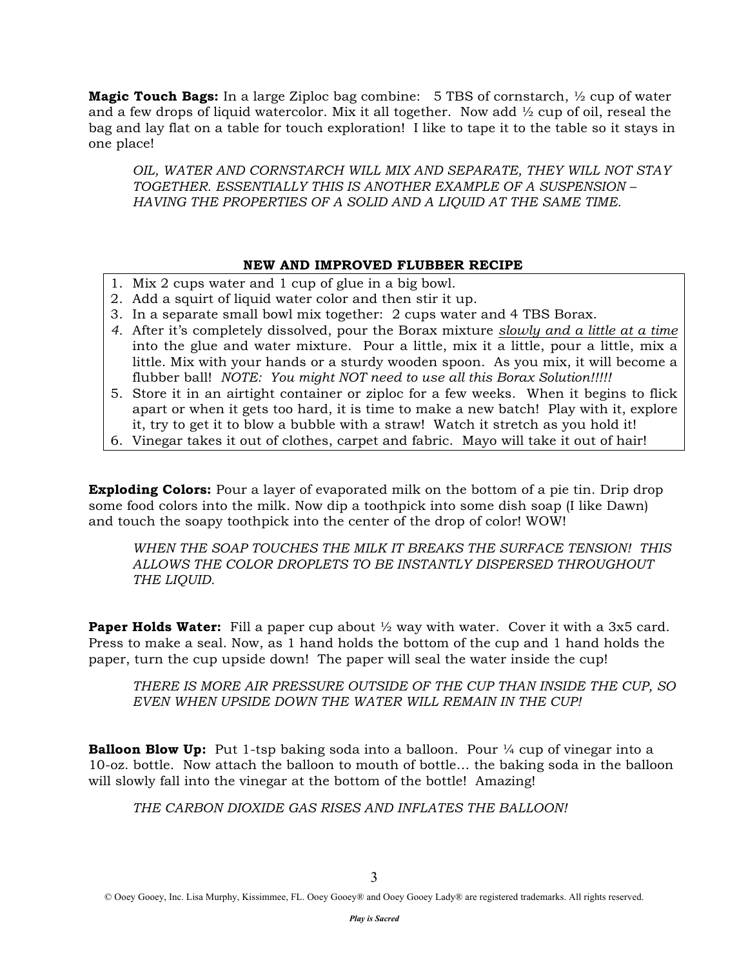**Magic Touch Bags:** In a large Ziploc bag combine: 5 TBS of cornstarch, ½ cup of water and a few drops of liquid watercolor. Mix it all together. Now add ½ cup of oil, reseal the bag and lay flat on a table for touch exploration! I like to tape it to the table so it stays in one place!

*OIL, WATER AND CORNSTARCH WILL MIX AND SEPARATE, THEY WILL NOT STAY TOGETHER. ESSENTIALLY THIS IS ANOTHER EXAMPLE OF A SUSPENSION – HAVING THE PROPERTIES OF A SOLID AND A LIQUID AT THE SAME TIME.* 

#### **NEW AND IMPROVED FLUBBER RECIPE**

- 1. Mix 2 cups water and 1 cup of glue in a big bowl.
- 2. Add a squirt of liquid water color and then stir it up.
- 3. In a separate small bowl mix together: 2 cups water and 4 TBS Borax.
- *4.* After it's completely dissolved, pour the Borax mixture *slowly and a little at a time* into the glue and water mixture. Pour a little, mix it a little, pour a little, mix a little. Mix with your hands or a sturdy wooden spoon. As you mix, it will become a flubber ball! *NOTE: You might NOT need to use all this Borax Solution!!!!!*
- 5. Store it in an airtight container or ziploc for a few weeks. When it begins to flick apart or when it gets too hard, it is time to make a new batch! Play with it, explore it, try to get it to blow a bubble with a straw! Watch it stretch as you hold it!
- 6. Vinegar takes it out of clothes, carpet and fabric. Mayo will take it out of hair!

**Exploding Colors:** Pour a layer of evaporated milk on the bottom of a pie tin. Drip drop some food colors into the milk. Now dip a toothpick into some dish soap (I like Dawn) and touch the soapy toothpick into the center of the drop of color! WOW!

*WHEN THE SOAP TOUCHES THE MILK IT BREAKS THE SURFACE TENSION! THIS ALLOWS THE COLOR DROPLETS TO BE INSTANTLY DISPERSED THROUGHOUT THE LIQUID.*

**Paper Holds Water:** Fill a paper cup about  $\frac{1}{2}$  way with water. Cover it with a 3x5 card. Press to make a seal. Now, as 1 hand holds the bottom of the cup and 1 hand holds the paper, turn the cup upside down! The paper will seal the water inside the cup!

*THERE IS MORE AIR PRESSURE OUTSIDE OF THE CUP THAN INSIDE THE CUP, SO EVEN WHEN UPSIDE DOWN THE WATER WILL REMAIN IN THE CUP!*

**Balloon Blow Up:** Put 1-tsp baking soda into a balloon. Pour 1/4 cup of vinegar into a 10-oz. bottle. Now attach the balloon to mouth of bottle… the baking soda in the balloon will slowly fall into the vinegar at the bottom of the bottle! Amazing!

*THE CARBON DIOXIDE GAS RISES AND INFLATES THE BALLOON!*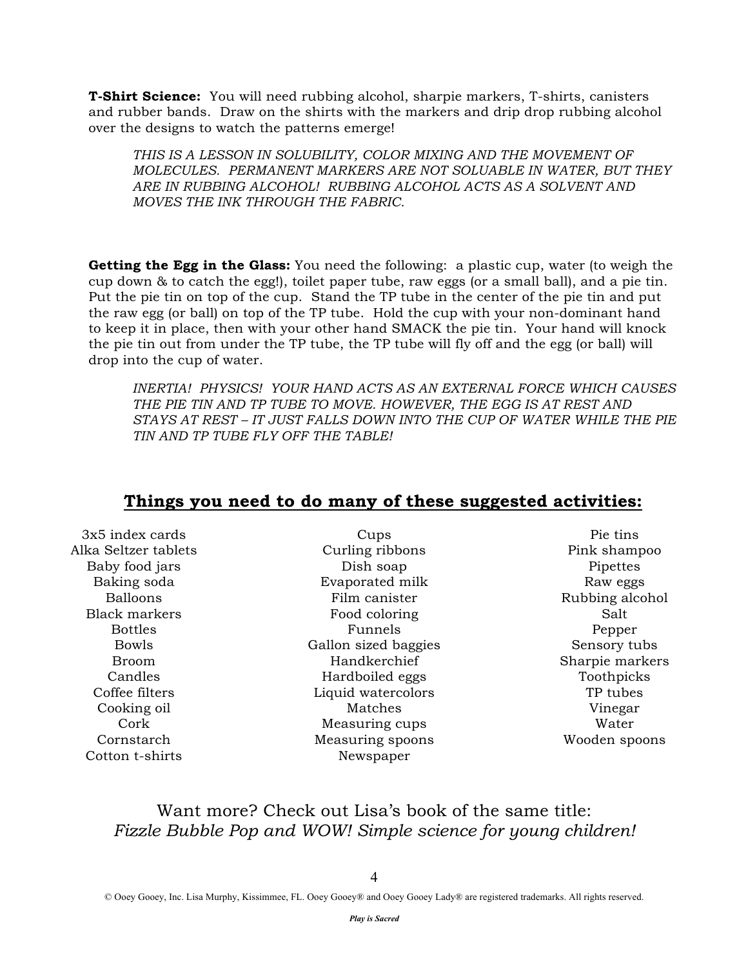**T-Shirt Science:** You will need rubbing alcohol, sharpie markers, T-shirts, canisters and rubber bands. Draw on the shirts with the markers and drip drop rubbing alcohol over the designs to watch the patterns emerge!

THIS IS A LESSON IN SOLUBILITY, COLOR MIXING AND THE MOVEMENT OF *MOLECULES. PERMANENT MARKERS ARE NOT SOLUABLE IN WATER, BUT THEY ARE IN RUBBING ALCOHOL! RUBBING ALCOHOL ACTS AS A SOLVENT AND MOVES THE INK THROUGH THE FABRIC.*

**Getting the Egg in the Glass:** You need the following: a plastic cup, water (to weigh the cup down & to catch the egg!), toilet paper tube, raw eggs (or a small ball), and a pie tin. Put the pie tin on top of the cup. Stand the TP tube in the center of the pie tin and put the raw egg (or ball) on top of the TP tube. Hold the cup with your non-dominant hand to keep it in place, then with your other hand SMACK the pie tin. Your hand will knock the pie tin out from under the TP tube, the TP tube will fly off and the egg (or ball) will drop into the cup of water.

*INERTIA! PHYSICS! YOUR HAND ACTS AS AN EXTERNAL FORCE WHICH CAUSES*  THE PIE TIN AND TP TUBE TO MOVE. HOWEVER, THE EGG IS AT REST AND *STAYS AT REST – IT JUST FALLS DOWN INTO THE CUP OF WATER WHILE THE PIE TIN AND TP TUBE FLY OFF THE TABLE!*

| 3x5 index cards      | Cups                 | Pie tins        |
|----------------------|----------------------|-----------------|
| Alka Seltzer tablets | Curling ribbons      | Pink shampoo    |
| Baby food jars       | Dish soap            | Pipettes        |
| Baking soda          | Evaporated milk      | Raw eggs        |
| <b>Balloons</b>      | Film canister        | Rubbing alcohol |
| Black markers        | Food coloring        | Salt            |
| <b>Bottles</b>       | Funnels              | Pepper          |
| <b>Bowls</b>         | Gallon sized baggies | Sensory tubs    |
| <b>Broom</b>         | Handkerchief         | Sharpie markers |
| Candles              | Hardboiled eggs      | Toothpicks      |
| Coffee filters       | Liquid watercolors   | TP tubes        |
| Cooking oil          | Matches              | Vinegar         |
| Cork                 | Measuring cups       | Water           |
| Cornstarch           | Measuring spoons     | Wooden spoons   |
| Cotton t-shirts      | Newspaper            |                 |
|                      |                      |                 |

### **Things you need to do many of these suggested activities:**

## Want more? Check out Lisa's book of the same title: *Fizzle Bubble Pop and WOW! Simple science for young children!*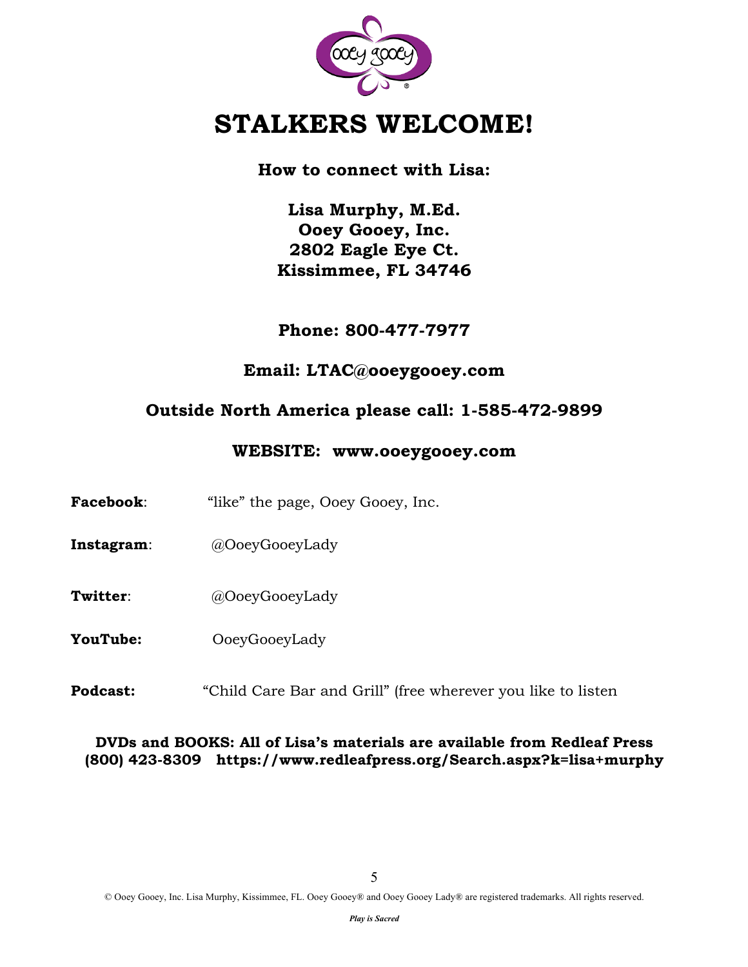

# **STALKERS WELCOME!**

**How to connect with Lisa:**

**Lisa Murphy, M.Ed. Ooey Gooey, Inc. 2802 Eagle Eye Ct. Kissimmee, FL 34746**

**Phone: 800-477-7977** 

**Email: LTAC@ooeygooey.com**

## **Outside North America please call: 1-585-472-9899**

### **WEBSITE: www.ooeygooey.com**

- **Facebook:** "like" the page, Ooey Gooey, Inc.
- **Instagram**: @OoeyGooeyLady
- **Twitter**: @OoeyGooeyLady
- **YouTube:** OoeyGooeyLady
- **Podcast:** "Child Care Bar and Grill" (free wherever you like to listen

### **DVDs and BOOKS: All of Lisa's materials are available from Redleaf Press (800) 423-8309 https://www.redleafpress.org/Search.aspx?k=lisa+murphy**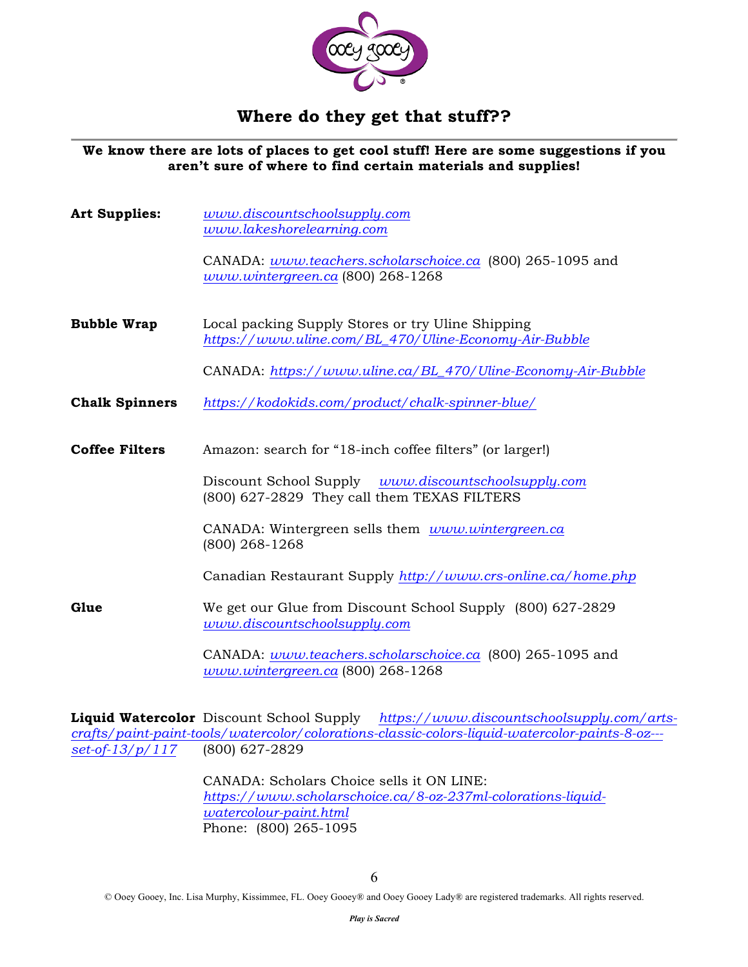

## **Where do they get that stuff??**

**We know there are lots of places to get cool stuff! Here are some suggestions if you aren't sure of where to find certain materials and supplies!**

**Art Supplies:** *www.discountschoolsupply.com www.lakeshorelearning.com* CANADA: *www.teachers.scholarschoice.ca* (800) 265-1095 and *www.wintergreen.ca* (800) 268-1268 **Bubble Wrap** Local packing Supply Stores or try Uline Shipping *https://www.uline.com/BL\_470/Uline-Economy-Air-Bubble* CANADA: *https://www.uline.ca/BL\_470/Uline-Economy-Air-Bubble* **Chalk Spinners** *https://kodokids.com/product/chalk-spinner-blue/* **Coffee Filters** Amazon: search for "18-inch coffee filters" (or larger!) Discount School Supply *www.discountschoolsupply.com* (800) 627-2829 They call them TEXAS FILTERS CANADA: Wintergreen sells them *www.wintergreen.ca* (800) 268-1268

Canadian Restaurant Supply *http://www.crs-online.ca/home.php*

Glue We get our Glue from Discount School Supply (800) 627-2829 *www.discountschoolsupply.com*

> CANADA: *www.teachers.scholarschoice.ca* (800) 265-1095 and *www.wintergreen.ca* (800) 268-1268

**Liquid Watercolor** Discount School Supply *https://www.discountschoolsupply.com/artscrafts/paint-paint-tools/watercolor/colorations-classic-colors-liquid-watercolor-paints-8-oz-- set-of-13/p/117* (800) 627-2829

> CANADA: Scholars Choice sells it ON LINE: *https://www.scholarschoice.ca/8-oz-237ml-colorations-liquidwatercolour-paint.html* Phone: (800) 265-1095